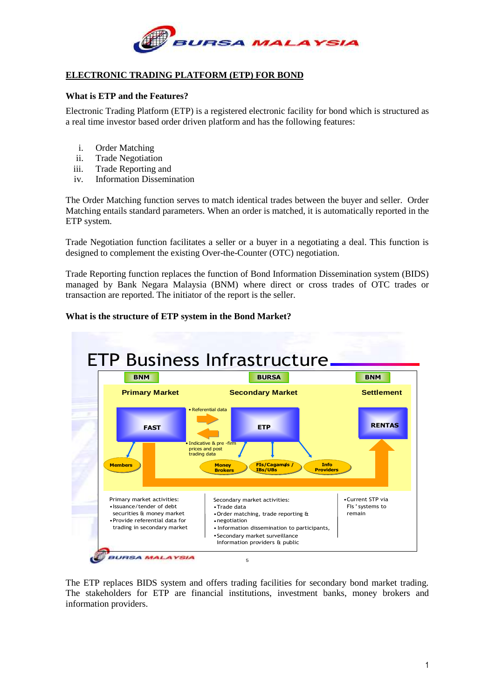

## **ELECTRONIC TRADING PLATFORM (ETP) FOR BOND**

## **What is ETP and the Features?**

Electronic Trading Platform (ETP) is a registered electronic facility for bond which is structured as a real time investor based order driven platform and has the following features:

- i. Order Matching
- ii. Trade Negotiation
- iii. Trade Reporting and
- iv. Information Dissemination

The Order Matching function serves to match identical trades between the buyer and seller. Order Matching entails standard parameters. When an order is matched, it is automatically reported in the ETP system.

Trade Negotiation function facilitates a seller or a buyer in a negotiating a deal. This function is designed to complement the existing Over-the-Counter (OTC) negotiation.

Trade Reporting function replaces the function of Bond Information Dissemination system (BIDS) managed by Bank Negara Malaysia (BNM) where direct or cross trades of OTC trades or transaction are reported. The initiator of the report is the seller.

## **What is the structure of ETP system in the Bond Market?**



The ETP replaces BIDS system and offers trading facilities for secondary bond market trading. The stakeholders for ETP are financial institutions, investment banks, money brokers and information providers.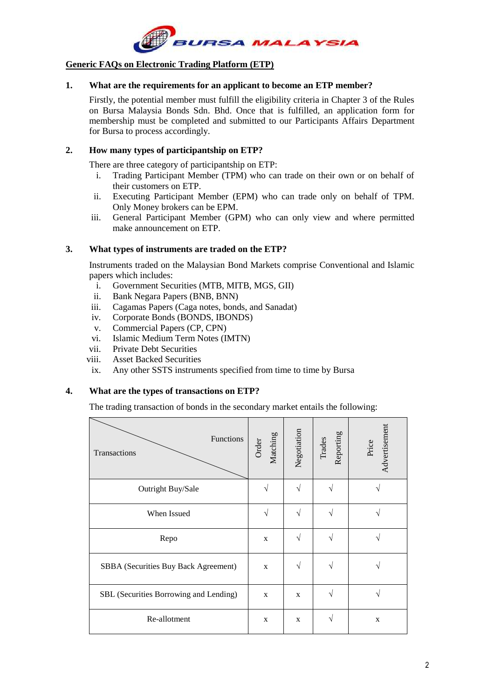

## **Generic FAQs on Electronic Trading Platform (ETP)**

## **1. What are the requirements for an applicant to become an ETP member?**

Firstly, the potential member must fulfill the eligibility criteria in Chapter 3 of the Rules on Bursa Malaysia Bonds Sdn. Bhd. Once that is fulfilled, an application form for membership must be completed and submitted to our Participants Affairs Department for Bursa to process accordingly.

## **2. How many types of participantship on ETP?**

There are three category of participantship on ETP:

- i. Trading Participant Member (TPM) who can trade on their own or on behalf of their customers on ETP.
- ii. Executing Participant Member (EPM) who can trade only on behalf of TPM. Only Money brokers can be EPM.
- iii. General Participant Member (GPM) who can only view and where permitted make announcement on ETP.

## **3. What types of instruments are traded on the ETP?**

Instruments traded on the Malaysian Bond Markets comprise Conventional and Islamic papers which includes:

- i. Government Securities (MTB, MITB, MGS, GII)
- ii. Bank Negara Papers (BNB, BNN)
- iii. Cagamas Papers (Caga notes, bonds, and Sanadat)
- iv. Corporate Bonds (BONDS, IBONDS)
- v. Commercial Papers (CP, CPN)
- vi. Islamic Medium Term Notes (IMTN)
- vii. Private Debt Securities
- viii. Asset Backed Securities
- ix. Any other SSTS instruments specified from time to time by Bursa

## **4. What are the types of transactions on ETP?**

The trading transaction of bonds in the secondary market entails the following:

| Functions<br>Transactions              | Matching<br>Order | Negotiation | Trades<br>Reporting | Advertisement<br>Price |
|----------------------------------------|-------------------|-------------|---------------------|------------------------|
| Outright Buy/Sale                      |                   | V           | N                   |                        |
| When Issued                            | V                 | V           | <sup>1</sup>        |                        |
| Repo                                   | X                 | V           | N                   |                        |
| SBBA (Securities Buy Back Agreement)   | X                 | V           | N                   |                        |
| SBL (Securities Borrowing and Lending) | X                 | X           | N                   |                        |
| Re-allotment                           | X                 | X           | N                   | X                      |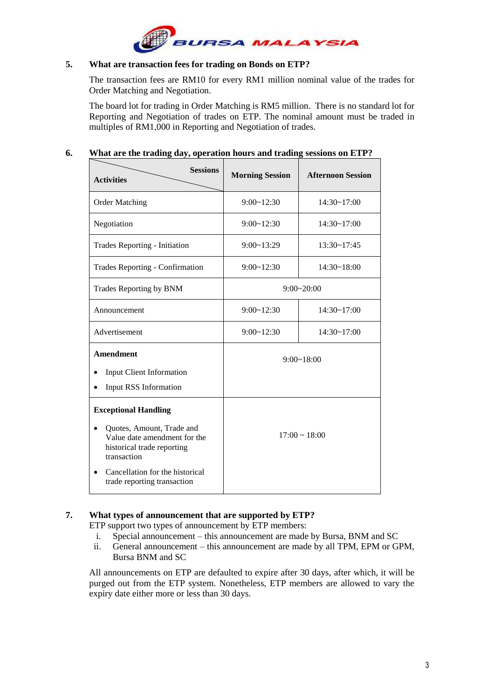## **5. What are transaction fees for trading on Bonds on ETP?**

The transaction fees are RM10 for every RM1 million nominal value of the trades for Order Matching and Negotiation.

The board lot for trading in Order Matching is RM5 million. There is no standard lot for Reporting and Negotiation of trades on ETP. The nominal amount must be traded in multiples of RM1,000 in Reporting and Negotiation of trades.

## **6. What are the trading day, operation hours and trading sessions on ETP?**

| <b>Sessions</b><br><b>Activities</b>                                                                                                                                                                    | <b>Morning Session</b> | <b>Afternoon Session</b> |  |
|---------------------------------------------------------------------------------------------------------------------------------------------------------------------------------------------------------|------------------------|--------------------------|--|
| <b>Order Matching</b>                                                                                                                                                                                   | 9:00~12:30             | $14:30 \sim 17:00$       |  |
| Negotiation                                                                                                                                                                                             | 9:00~12:30             | $14:30 \sim 17:00$       |  |
| Trades Reporting - Initiation                                                                                                                                                                           | $9:00 \sim 13:29$      | $13:30 - 17:45$          |  |
| Trades Reporting - Confirmation                                                                                                                                                                         | 9:00~12:30             | 14:30~18:00              |  |
| Trades Reporting by BNM                                                                                                                                                                                 | 9:00~20:00             |                          |  |
| Announcement                                                                                                                                                                                            | 9:00~12:30             | 14:30~17:00              |  |
| Advertisement                                                                                                                                                                                           | 9:00~12:30             | $14:30 \sim 17:00$       |  |
| Amendment<br><b>Input Client Information</b><br>Input RSS Information                                                                                                                                   | $9:00 \sim 18:00$      |                          |  |
| <b>Exceptional Handling</b><br>Quotes, Amount, Trade and<br>Value date amendment for the<br>historical trade reporting<br>transaction<br>Cancellation for the historical<br>trade reporting transaction |                        | $17:00 \sim 18:00$       |  |

## **7. What types of announcement that are supported by ETP?**

ETP support two types of announcement by ETP members:

- i. Special announcement this announcement are made by Bursa, BNM and SC
- ii. General announcement this announcement are made by all TPM, EPM or GPM, Bursa BNM and SC

All announcements on ETP are defaulted to expire after 30 days, after which, it will be purged out from the ETP system. Nonetheless, ETP members are allowed to vary the expiry date either more or less than 30 days.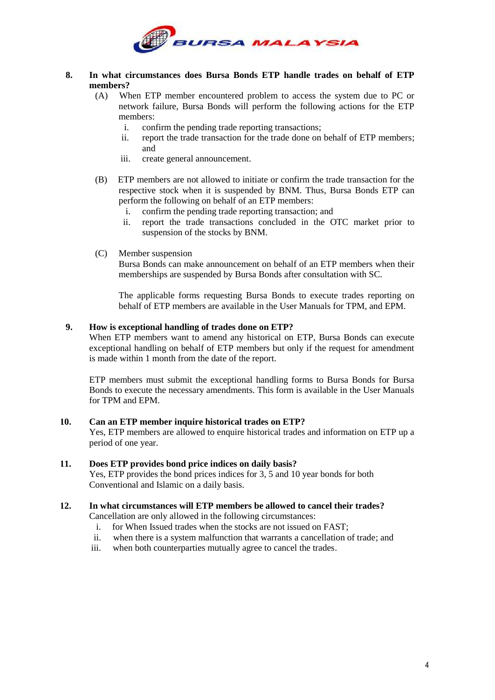

## **8. In what circumstances does Bursa Bonds ETP handle trades on behalf of ETP members?**

- (A) When ETP member encountered problem to access the system due to PC or network failure, Bursa Bonds will perform the following actions for the ETP members:
	- i. confirm the pending trade reporting transactions;
	- ii. report the trade transaction for the trade done on behalf of ETP members; and
	- iii. create general announcement.
- (B) ETP members are not allowed to initiate or confirm the trade transaction for the respective stock when it is suspended by BNM. Thus, Bursa Bonds ETP can perform the following on behalf of an ETP members:
	- i. confirm the pending trade reporting transaction; and
	- ii. report the trade transactions concluded in the OTC market prior to suspension of the stocks by BNM.
- (C) Member suspension

Bursa Bonds can make announcement on behalf of an ETP members when their memberships are suspended by Bursa Bonds after consultation with SC.

The applicable forms requesting Bursa Bonds to execute trades reporting on behalf of ETP members are available in the User Manuals for TPM, and EPM.

## **9. How is exceptional handling of trades done on ETP?**

When ETP members want to amend any historical on ETP, Bursa Bonds can execute exceptional handling on behalf of ETP members but only if the request for amendment is made within 1 month from the date of the report.

ETP members must submit the exceptional handling forms to Bursa Bonds for Bursa Bonds to execute the necessary amendments. This form is available in the User Manuals for TPM and EPM.

### **10. Can an ETP member inquire historical trades on ETP?**

Yes, ETP members are allowed to enquire historical trades and information on ETP up a period of one year.

### **11. Does ETP provides bond price indices on daily basis?**

Yes, ETP provides the bond prices indices for 3, 5 and 10 year bonds for both Conventional and Islamic on a daily basis.

## **12. In what circumstances will ETP members be allowed to cancel their trades?**

Cancellation are only allowed in the following circumstances:

- i. for When Issued trades when the stocks are not issued on FAST;
- ii. when there is a system malfunction that warrants a cancellation of trade; and
- iii. when both counterparties mutually agree to cancel the trades.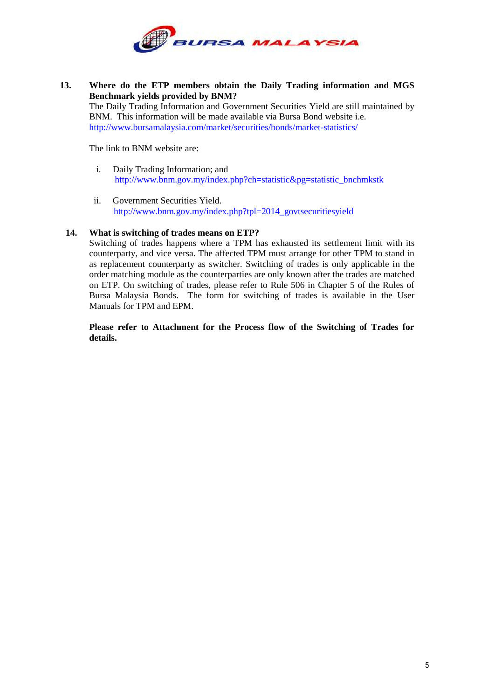

**13. Where do the ETP members obtain the Daily Trading information and MGS Benchmark yields provided by BNM?** The Daily Trading Information and Government Securities Yield are still maintained by BNM. This information will be made available via Bursa Bond website i.e. <http://www.bursamalaysia.com/market/securities/bonds/market-statistics/>

The link to BNM website are:

- i. Daily Trading Information; and [http://www.bnm.gov.my/index.php?ch=statistic&pg=statistic\\_bnchmkstk](http://www.bnm.gov.my/index.php?ch=statistic&pg=statistic_bnchmkstk)
- ii. Government Securities Yield. [http://www.bnm.gov.my/index.php?tpl=2014\\_govtsecuritiesyield](http://www.bnm.gov.my/index.php?tpl=2014_govtsecuritiesyield)

## **14. What is switching of trades means on ETP?**

Switching of trades happens where a TPM has exhausted its settlement limit with its counterparty, and vice versa. The affected TPM must arrange for other TPM to stand in as replacement counterparty as switcher. Switching of trades is only applicable in the order matching module as the counterparties are only known after the trades are matched on ETP. On switching of trades, please refer to Rule 506 in Chapter 5 of the Rules of Bursa Malaysia Bonds. The form for switching of trades is available in the User Manuals for TPM and EPM.

**Please refer to Attachment for the Process flow of the Switching of Trades for details.**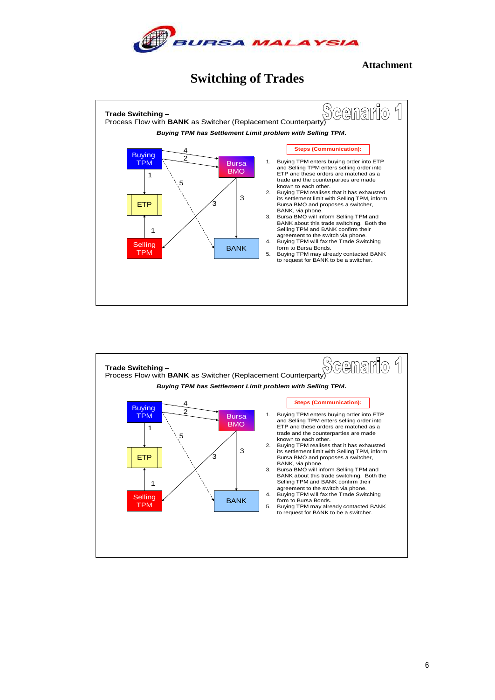

**Attachment**

# **Switching of Trades**



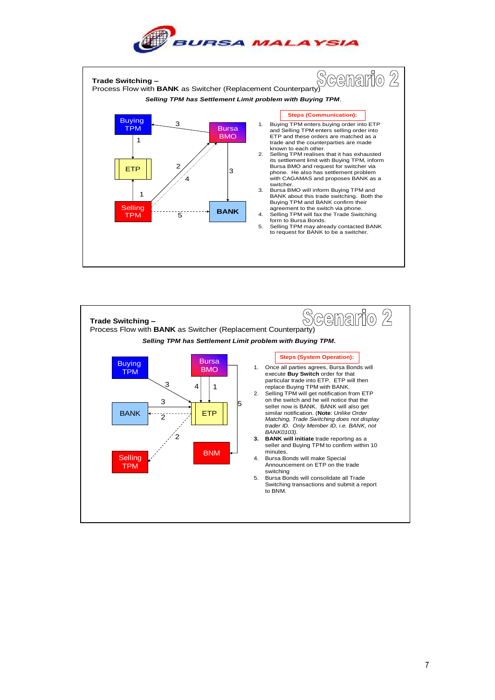



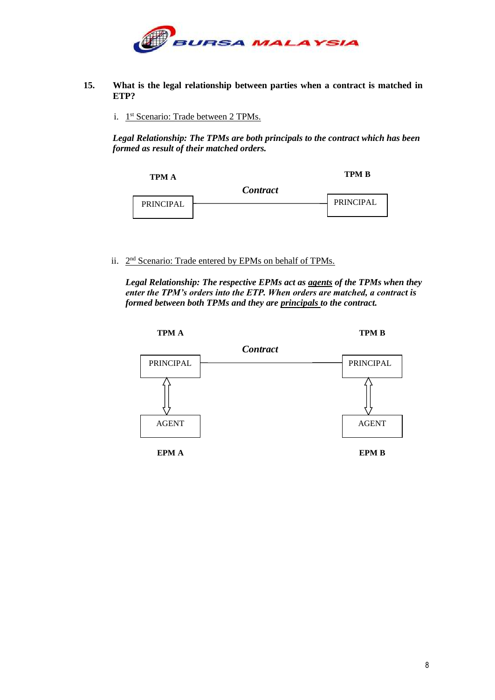

- **15. What is the legal relationship between parties when a contract is matched in ETP?**
	- i. 1<sup>st</sup> Scenario: Trade between 2 TPMs.

*Legal Relationship: The TPMs are both principals to the contract which has been formed as result of their matched orders.*



ii. 2<sup>nd</sup> Scenario: Trade entered by EPMs on behalf of TPMs.

*Legal Relationship: The respective EPMs act as agents of the TPMs when they enter the TPM's orders into the ETP. When orders are matched, a contract is formed between both TPMs and they are principals to the contract.*